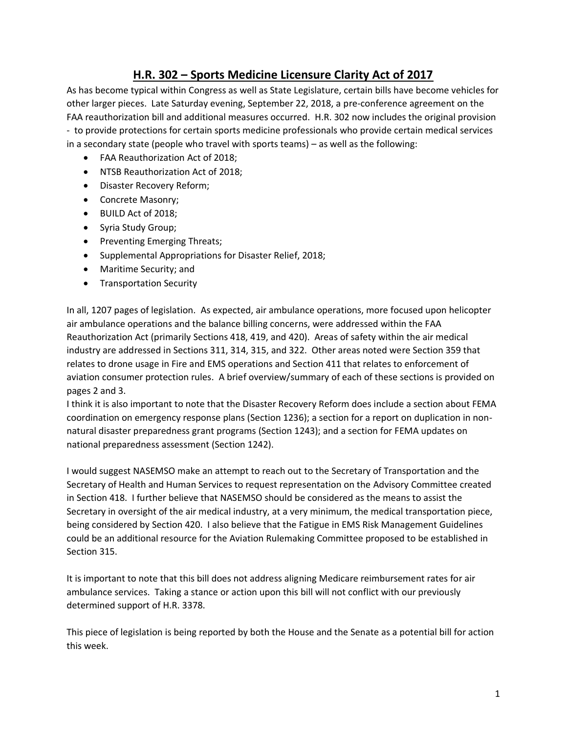# **H.R. 302 – Sports Medicine Licensure Clarity Act of 2017**

As has become typical within Congress as well as State Legislature, certain bills have become vehicles for other larger pieces. Late Saturday evening, September 22, 2018, a pre-conference agreement on the FAA reauthorization bill and additional measures occurred. H.R. 302 now includes the original provision - to provide protections for certain sports medicine professionals who provide certain medical services in a secondary state (people who travel with sports teams) – as well as the following:

- FAA Reauthorization Act of 2018;
- NTSB Reauthorization Act of 2018;
- Disaster Recovery Reform;
- Concrete Masonry;
- BUILD Act of 2018;
- Syria Study Group;
- Preventing Emerging Threats;
- Supplemental Appropriations for Disaster Relief, 2018;
- Maritime Security; and
- Transportation Security

In all, 1207 pages of legislation. As expected, air ambulance operations, more focused upon helicopter air ambulance operations and the balance billing concerns, were addressed within the FAA Reauthorization Act (primarily Sections 418, 419, and 420). Areas of safety within the air medical industry are addressed in Sections 311, 314, 315, and 322. Other areas noted were Section 359 that relates to drone usage in Fire and EMS operations and Section 411 that relates to enforcement of aviation consumer protection rules. A brief overview/summary of each of these sections is provided on pages 2 and 3.

I think it is also important to note that the Disaster Recovery Reform does include a section about FEMA coordination on emergency response plans (Section 1236); a section for a report on duplication in nonnatural disaster preparedness grant programs (Section 1243); and a section for FEMA updates on national preparedness assessment (Section 1242).

I would suggest NASEMSO make an attempt to reach out to the Secretary of Transportation and the Secretary of Health and Human Services to request representation on the Advisory Committee created in Section 418. I further believe that NASEMSO should be considered as the means to assist the Secretary in oversight of the air medical industry, at a very minimum, the medical transportation piece, being considered by Section 420. I also believe that the Fatigue in EMS Risk Management Guidelines could be an additional resource for the Aviation Rulemaking Committee proposed to be established in Section 315.

It is important to note that this bill does not address aligning Medicare reimbursement rates for air ambulance services. Taking a stance or action upon this bill will not conflict with our previously determined support of H.R. 3378.

This piece of legislation is being reported by both the House and the Senate as a potential bill for action this week.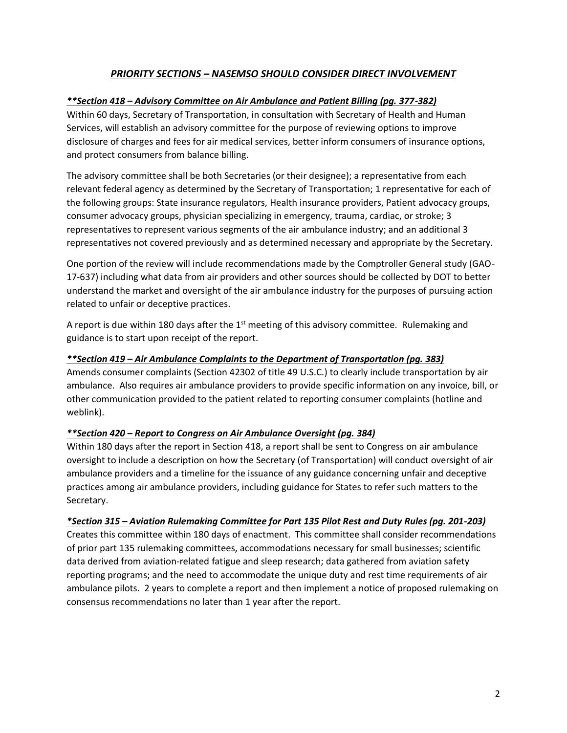# *PRIORITY SECTIONS – NASEMSO SHOULD CONSIDER DIRECT INVOLVEMENT*

# *\*\*Section 418 – Advisory Committee on Air Ambulance and Patient Billing (pg. 377-382)*

Within 60 days, Secretary of Transportation, in consultation with Secretary of Health and Human Services, will establish an advisory committee for the purpose of reviewing options to improve disclosure of charges and fees for air medical services, better inform consumers of insurance options, and protect consumers from balance billing.

The advisory committee shall be both Secretaries (or their designee); a representative from each relevant federal agency as determined by the Secretary of Transportation; 1 representative for each of the following groups: State insurance regulators, Health insurance providers, Patient advocacy groups, consumer advocacy groups, physician specializing in emergency, trauma, cardiac, or stroke; 3 representatives to represent various segments of the air ambulance industry; and an additional 3 representatives not covered previously and as determined necessary and appropriate by the Secretary.

One portion of the review will include recommendations made by the Comptroller General study (GAO-17-637) including what data from air providers and other sources should be collected by DOT to better understand the market and oversight of the air ambulance industry for the purposes of pursuing action related to unfair or deceptive practices.

A report is due within 180 days after the  $1<sup>st</sup>$  meeting of this advisory committee. Rulemaking and guidance is to start upon receipt of the report.

### *\*\*Section 419 – Air Ambulance Complaints to the Department of Transportation (pg. 383)*

Amends consumer complaints (Section 42302 of title 49 U.S.C.) to clearly include transportation by air ambulance. Also requires air ambulance providers to provide specific information on any invoice, bill, or other communication provided to the patient related to reporting consumer complaints (hotline and weblink).

### *\*\*Section 420 – Report to Congress on Air Ambulance Oversight (pg. 384)*

Within 180 days after the report in Section 418, a report shall be sent to Congress on air ambulance oversight to include a description on how the Secretary (of Transportation) will conduct oversight of air ambulance providers and a timeline for the issuance of any guidance concerning unfair and deceptive practices among air ambulance providers, including guidance for States to refer such matters to the Secretary.

### *\*Section 315 – Aviation Rulemaking Committee for Part 135 Pilot Rest and Duty Rules (pg. 201-203)*

Creates this committee within 180 days of enactment. This committee shall consider recommendations of prior part 135 rulemaking committees, accommodations necessary for small businesses; scientific data derived from aviation-related fatigue and sleep research; data gathered from aviation safety reporting programs; and the need to accommodate the unique duty and rest time requirements of air ambulance pilots. 2 years to complete a report and then implement a notice of proposed rulemaking on consensus recommendations no later than 1 year after the report.